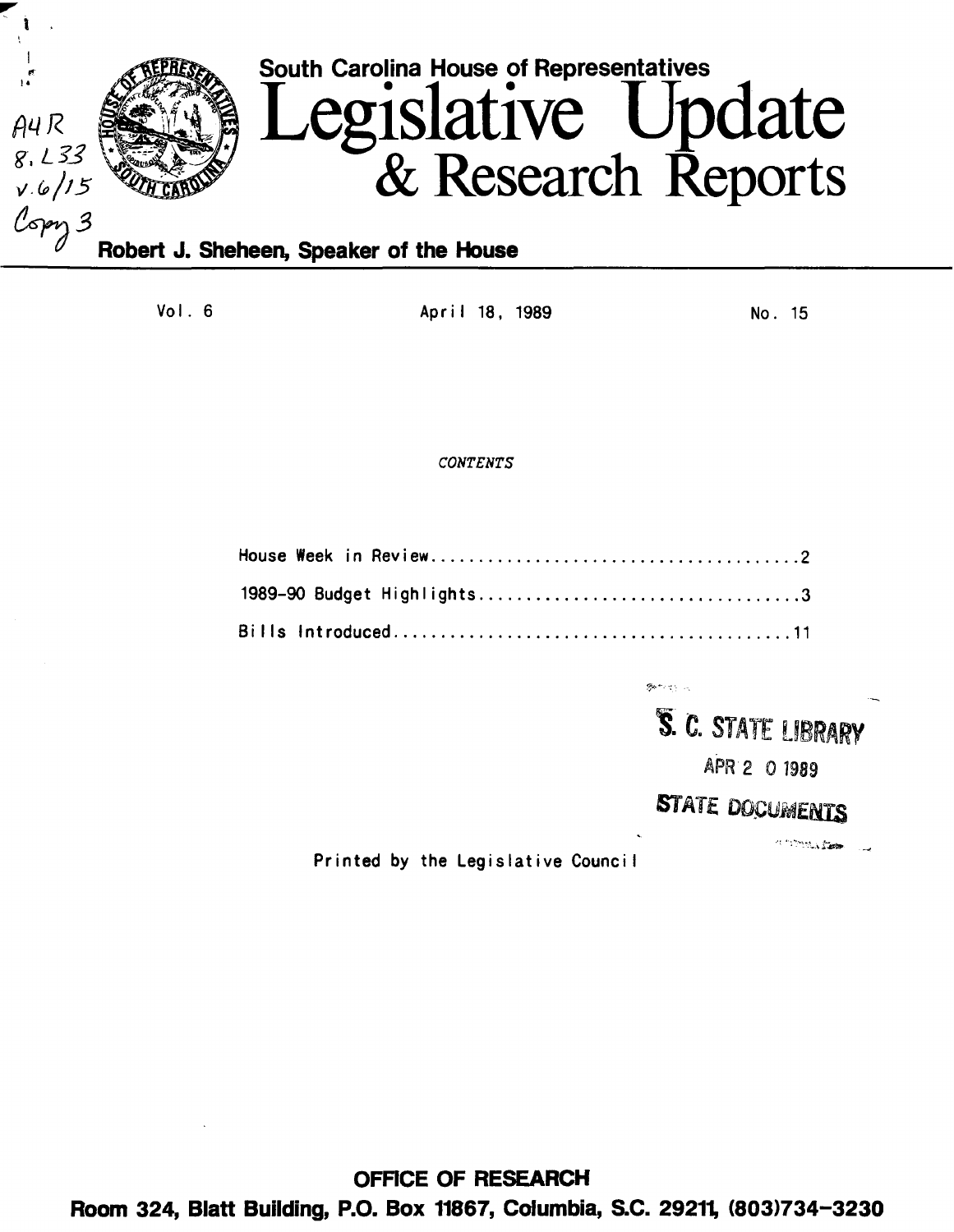

Vol. 6 Apr i I 18 , 1989 No. 15

# *CONTENTS*

**Bundalow** 

**5. C. STATE LIBRARY** 

APR 2 0 1989

# STATE DOCUMENTS

**CONSTRUCTION** 

فسأدرج

Printed by the Legislative Counci I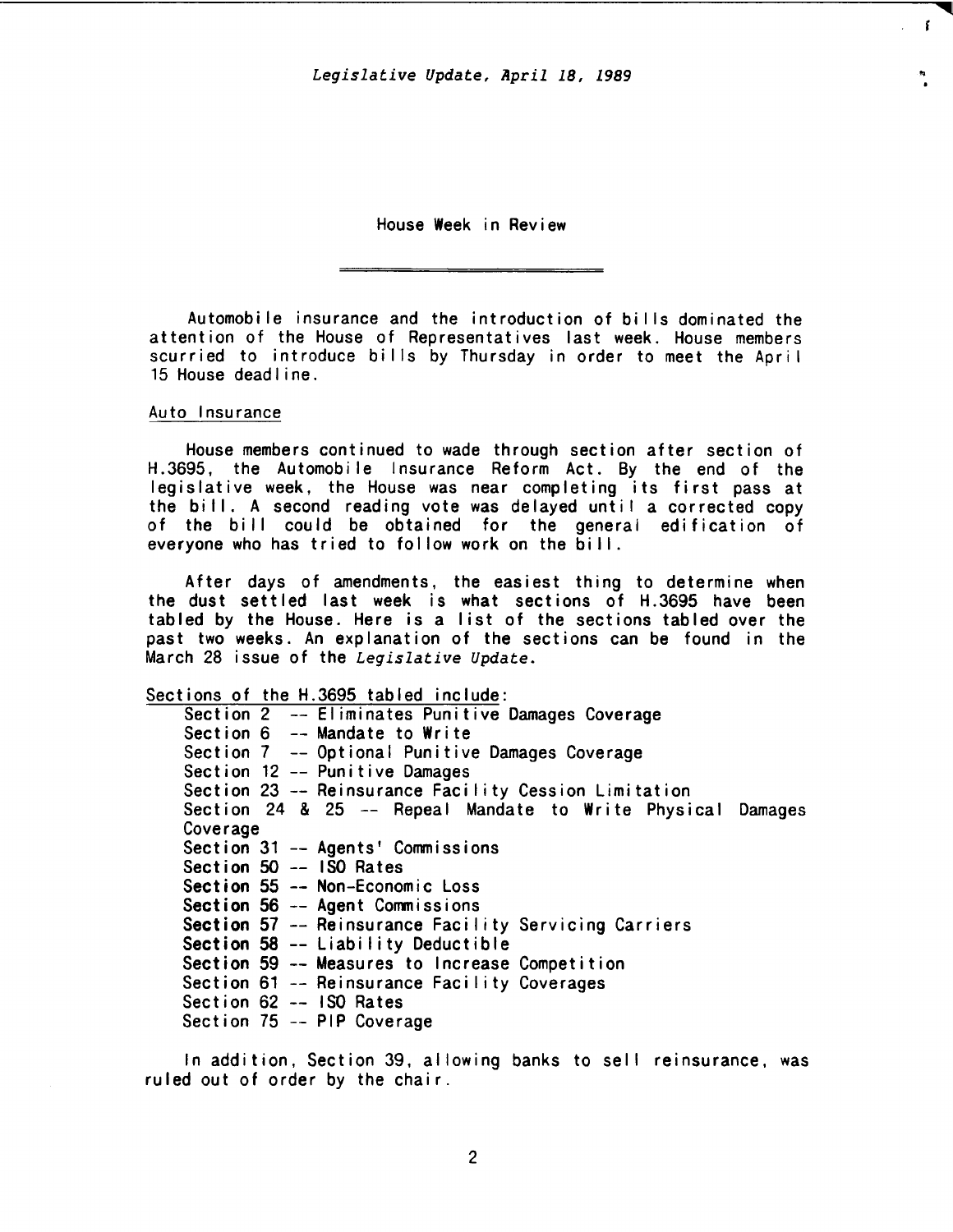Legislative Update, April 18, 1989

 $\mathbf{f}$ 

House Week in Review

Automobile insurance and the introduction of bi I Is dominated the attention of the House of Representatives last week. House members scurried to introduce bills by Thursday in order to meet the April 15 House dead I ine.

# Auto Insurance

House members continued to wade through section after section of H.3695, the Automobile Insurance Reform Act. By the end of the legislative week, the House was near completing its first pass at the bill. A second reading vote was delayed until a corrected copy of the bill could be obtained for the general edification of everyone who has tried to follow work on the bill.

After days of amendments, the easiest thing to determine when the dust settled last week is what sections of H.3695 have been tabled by the House. Here is a list of the sections tabled over the past two weeks. An explanation of the sections can be found in the March 28 issue of the *Legislative Update.* 

Sections of the H.3695 tabled include:

|          | Section 2 -- Eliminates Punitive Damages Coverage           |
|----------|-------------------------------------------------------------|
|          | Section $6$ -- Mandate to Write                             |
|          | Section 7 -- Optional Punitive Damages Coverage             |
|          | Section 12 -- Punitive Damages                              |
|          | Section 23 -- Reinsurance Facility Cession Limitation       |
|          | Section 24 & 25 -- Repeal Mandate to Write Physical Damages |
| Coverage |                                                             |
|          | Section 31 -- Agents' Commissions                           |
|          | Section 50 -- ISO Rates                                     |
|          | Section 55 -- Non-Economic Loss                             |
|          | Section 56 -- Agent Commissions                             |
|          | Section 57 -- Reinsurance Facility Servicing Carriers       |
|          | Section 58 -- Liability Deductible                          |
|          | Section 59 -- Measures to Increase Competition              |
|          | Section 61 -- Reinsurance Facility Coverages                |
|          | Section 62 -- ISO Rates                                     |
|          | Section 75 -- PIP Coverage                                  |

In addition, Section 39, allowing banks to sell reinsurance, was ruled out of order by the chair.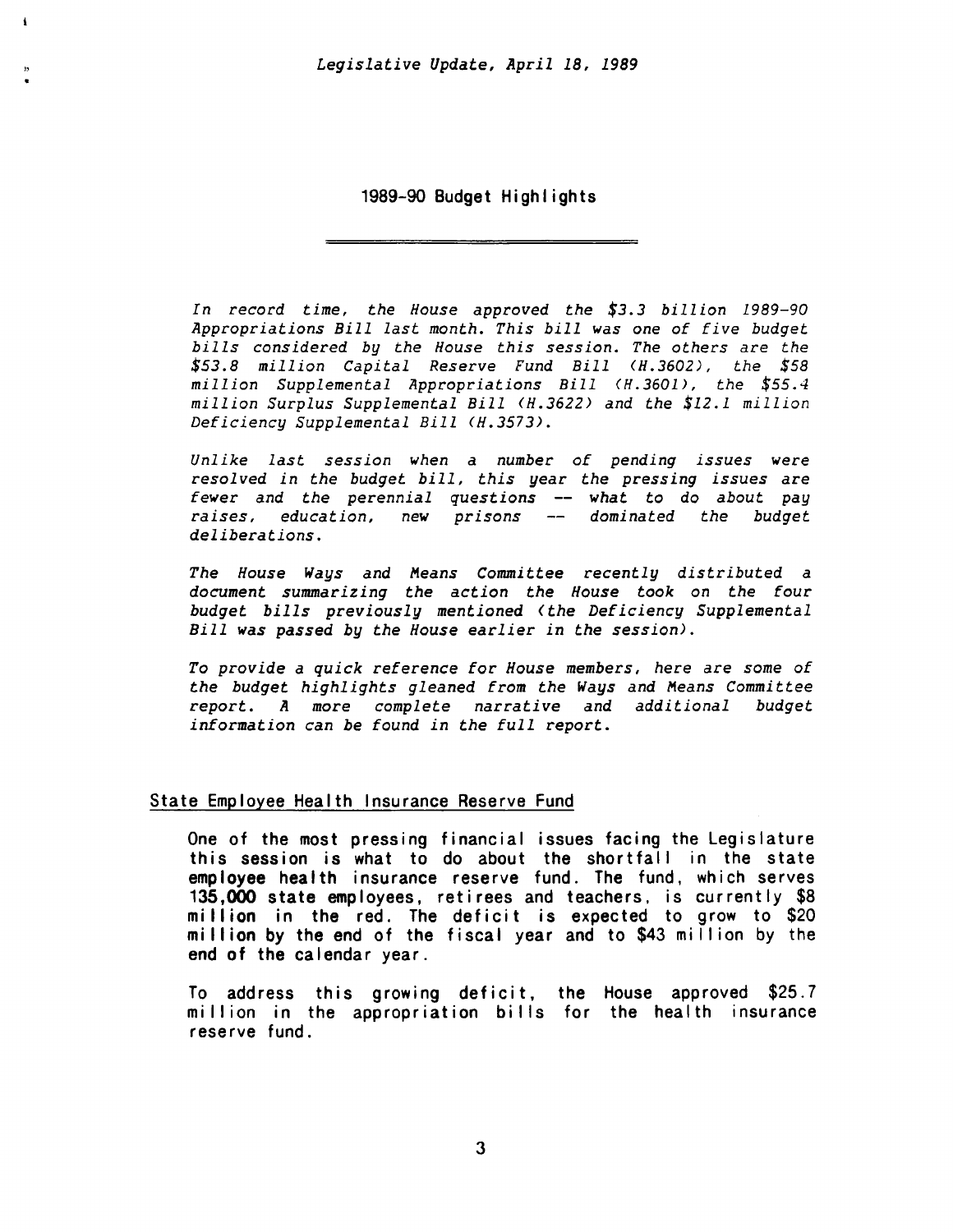ł.

1989-90 Budget Highlights

*In record time, the House approved the \$3.3 billion 1989-90 Appropriations Bill last month. This bill was one* of *five budget bills considered by the House this session. The others are the \$53.8 million Capital Reserve Fund Bill (H.3602), the \$58 million Supplemental Appropriations Bill (H.3601), the \$55.4 million Surplus Supplemental Bill (H.3622> and the \$12.1 million Deficiency Supplemental Bill <H.3573).* 

*Unlike last session when* a *number of pending issues were resolved in the budget bill, this year the pressing issues are fewer and the perennial questions -- what to do about pay* raises, education, new prisons -- dominated the budget *deliberations.* 

*The House Ways and Means Committee recently distributed a document summarizing the action the House took on the four budget bills previously mentioned <the Deficiency Supplemental Bill was passed by the House earlier in the session>.* 

*To provide a quick reference for House members, here are some* of *the budget highlights gleaned* from *the Ways and Means Committee report. A* more *complete narrative and additional budget information can be found in the full report.* 

# State Employee Health Insurance Reserve Fund

One of the most pressing financial issues facing the Legislature this session is what to do about the shortfall in the state employee health insurance reserve fund. The fund, which serves 135,000 state employees, retirees and teachers, is currently \$8 mi II ion in the red. The deficit is expected to grow to \$20 mi II ion by the end of the fiscal year and to \$43 mi II ion by the end of the calendar year.

To address this growing deficit, the House approved \$25.7 million in the appropriation bills for the health insurance reserve fund.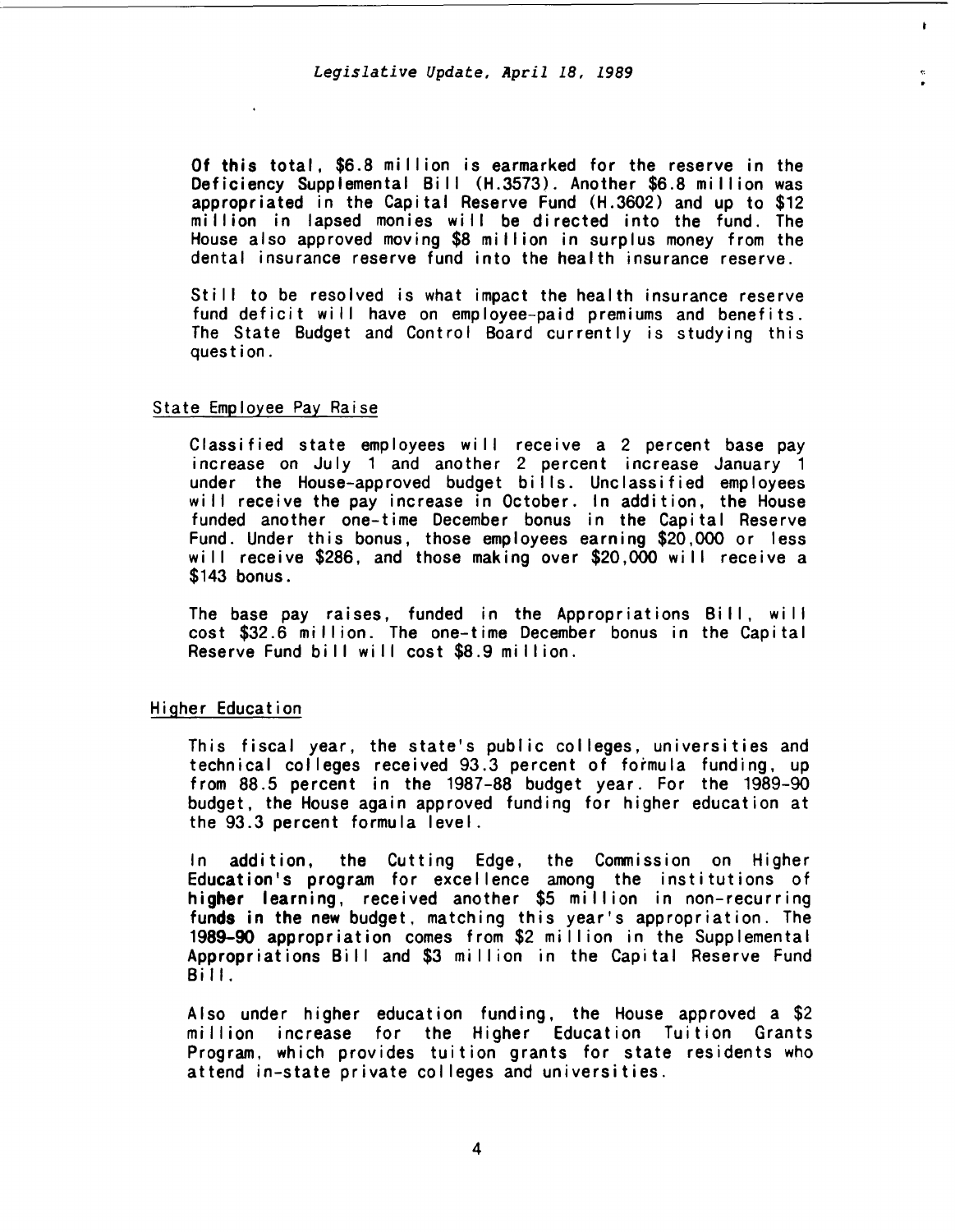Of this total, \$6.8 mi Ilion is earmarked for the reserve in the Deficiency Supplemental Bill (H.3573). Another \$6.8 million was appropriated in the Capital Reserve Fund (H.3602) and up to \$12 million in lapsed monies will be directed into the fund. The House also approved moving \$8 mi Ilion in surplus money from the dental insurance reserve fund into the health insurance reserve.

Still to be resolved is what impact the health insurance reserve fund deficit will have on employee-paid premiums and benefits. The State Budget and Control Board currently is studying this question.

## State Employee Pay Raise

Classified state employees will receive a 2 percent base pay increase on July 1 and another 2 percent increase January 1 under the House-approved budget bills. Unclassified employees will receive the pay increase in October. In addition, the House funded another one-time December bonus in the Capital Reserve Fund. Under this bonus, those employees earning \$20,000 or less will receive \$286, and those making over \$20,000 will receive a \$143 bonus.

The base pay raises, funded in the Appropriations Bill, will cost \$32.6 mi II ion. The one-time December bonus in the Capital Reserve Fund bill will cost \$8.9 million.

### Higher Education

This fiscal year, the state's public colleges, universities and technical colleges received 93.3 percent of formula funding, up from 88.5 percent in the 1987-88 budget year. For the 1989-90 budget, the House again approved funding for higher education at the 93.3 percent formula level.

In addition, the Cutting Edge, the Commission on Higher Education's program for excellence among the institutions of higher learning, received another \$5 million in non-recurring funds in the new budget, matching this year's appropriation. The 1989-90 appropriation comes from \$2 mi II ion in the Supplemental Appropriations Bill and \$3 million in the Capital Reserve Fund Bill.

Also under higher education funding, the House approved a \$2 million increase for the Higher Education Tuition Grants Program, which provides tuition grants for state residents who attend in-state private col leges and universities.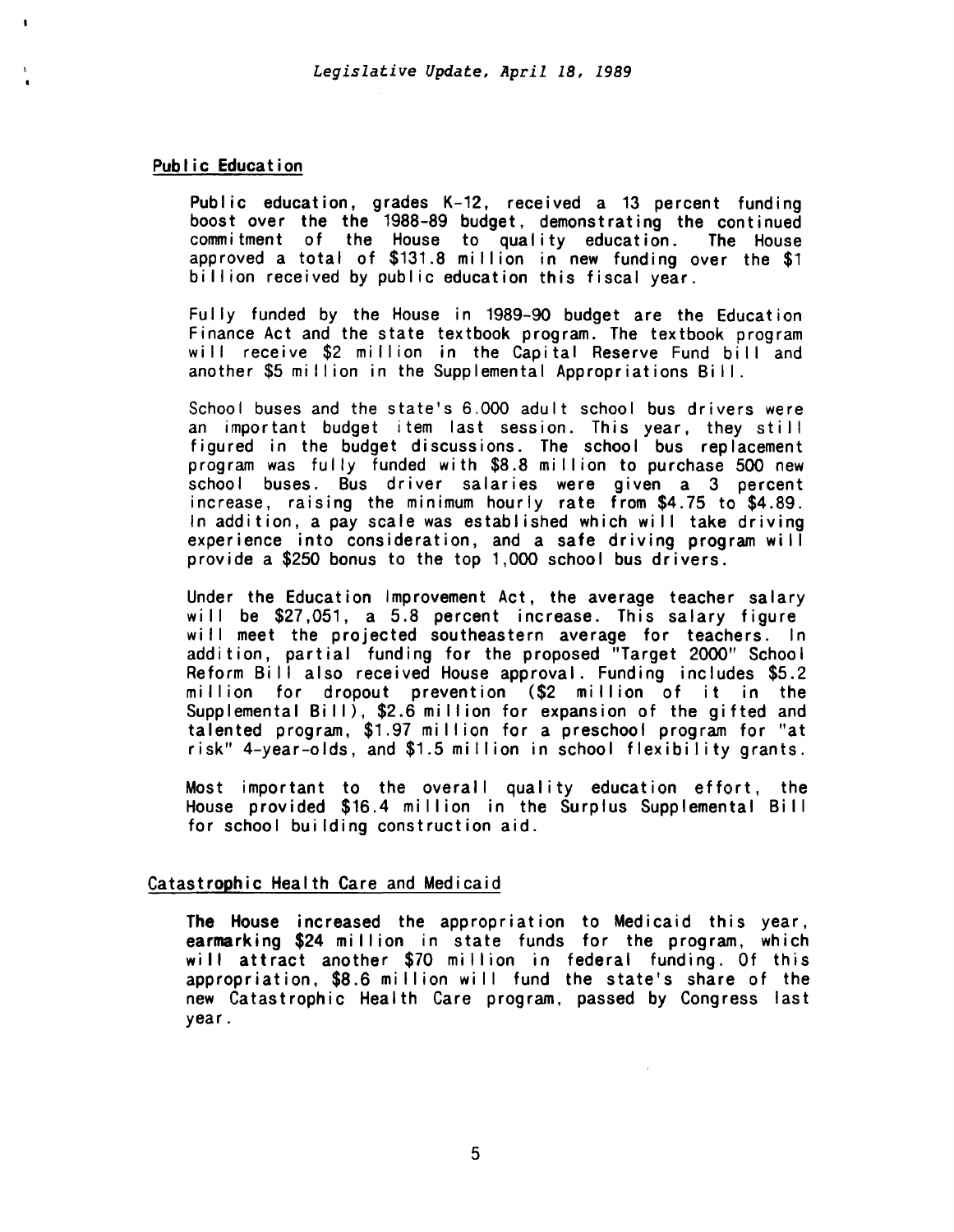# Public Education

Public education, grades K-12, received a 13 percent funding boost over the the 1988-89 budget, demonstrating the continued commitment of the House to quality education. The House approved a total of \$131.8 million in new funding over the \$1 billion received by public education this fiscal year.

Fully funded by the House in 1989-90 budget are the Education Finance Act and the state textbook program. The textbook program will receive \$2 million in the Capital Reserve Fund bill and another \$5 million in the Supplemental Appropriations Bill.

School buses and the state's 6.000 adult school bus drivers were an important budget item last session. This year, they still figured in the budget discussions. The school bus replacement program was fully funded with \$8.8 mi II ion to purchase 500 new school buses. Bus driver salaries were given a 3 percent increase, raising the minimum hourly rate from \$4.75 to \$4.89. In addition, a pay scale was established which will take driving experience into consideration, and a safe driving program will provide a \$250 bonus to the top 1,000 school bus drivers.

Under the Education Improvement Act, the average teacher salary will be \$27,051, a 5.8 percent increase. This salary figure will meet the projected southeastern average for teachers. In addition, partial funding for the proposed "Target 2000" School Reform Bill also received House approval. Funding includes \$5.2 million for dropout prevention (\$2 million of it in the Supplemental Bill),  $$2.6$  million for expansion of the gifted and talented program, \$1.97 mi II ion for a preschool program for "at risk" 4-year-olds, and \$1.5 million in school flexibility grants.

Most important to the overall quality education effort, the House provided \$16.4 million in the Surplus Supplemental Bill for school building construction aid.

# Catastrophic Health Care and Medicaid

The House increased the appropriation to Medicaid this year, earmarking \$24 million in state funds for the program, which will attract another \$70 million in federal funding. Of this appropriation, \$8.6 million will fund the state's share of the new Catastrophic Health Care program. passed by Congress last year.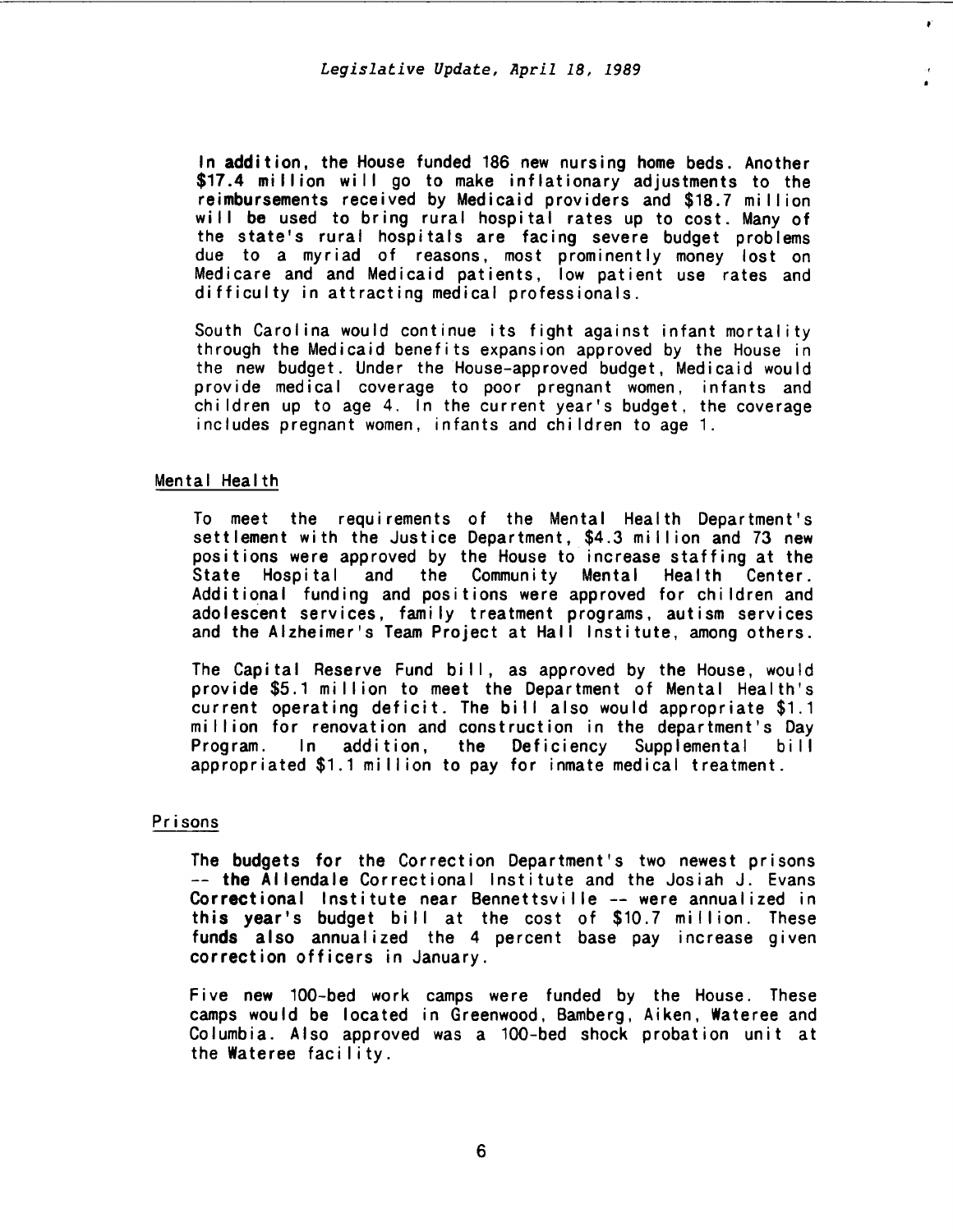.-

In addition, the House funded 186 new nursing home beds. Another \$17.4 million will go to make inflationary adjustments to the reimbursements received by Medicaid providers and \$18.7 mi II ion will be used to bring rural hospital rates up to cost. Many of the state's rural hospitals are facing severe budget problems due to a myriad of reasons, most prominently money lost on Medicare and and Medicaid patients, low patient use rates and difficulty in attracting medical professionals.

South Carol ina would continue its fight against infant mortality through the Medicaid benefits expansion approved by the House in the new budget. Under the House-approved budget, Medicaid would provide medical coverage to poor pregnant women, infants and children up to age 4. In the current year's budget, the coverage includes pregnant women, infants and children to age 1.

## Mental Health

To meet the requirements of the Mental Health Department's settlement with the Justice Department, \$4.3 mi II ion and 73 new positions were approved by the House to increase staffing at the State Hospital and the Community Mental Health Center. Additional funding and positions were approved for children and ado lescent services, family treatment programs, autism services and the Alzheimer's Team Project at Hall Institute, among others.

The Capital Reserve Fund bill, as approved by the House, would provide \$5.1 million to meet the Department of Mental Health's current operating deficit. The bill also would appropriate \$1.1 million for renovation and construction in the department's Day<br>Program. In addition, the Deficiency Supplemental bill the Deficiency Supplemental bill appropriated \$1.1 million to pay for inmate medical treatment.

# Prisons

The budgets for the Correction Department's two newest prisons -- the Allendale Correctional Institute and the Josiah J. Evans Correctional Institute near Bennettsville -- were annualized in this year's budget bill at the cost of \$10.7 million. These funds also annualized the 4 percent base pay increase given correction officers in January.

Five new 100-bed work camps were funded by the House. These camps would be located in Greenwood, Bamberg, Aiken, Wateree and Columbia. Also approved was a 100-bed shock probation unit at the Wateree facility.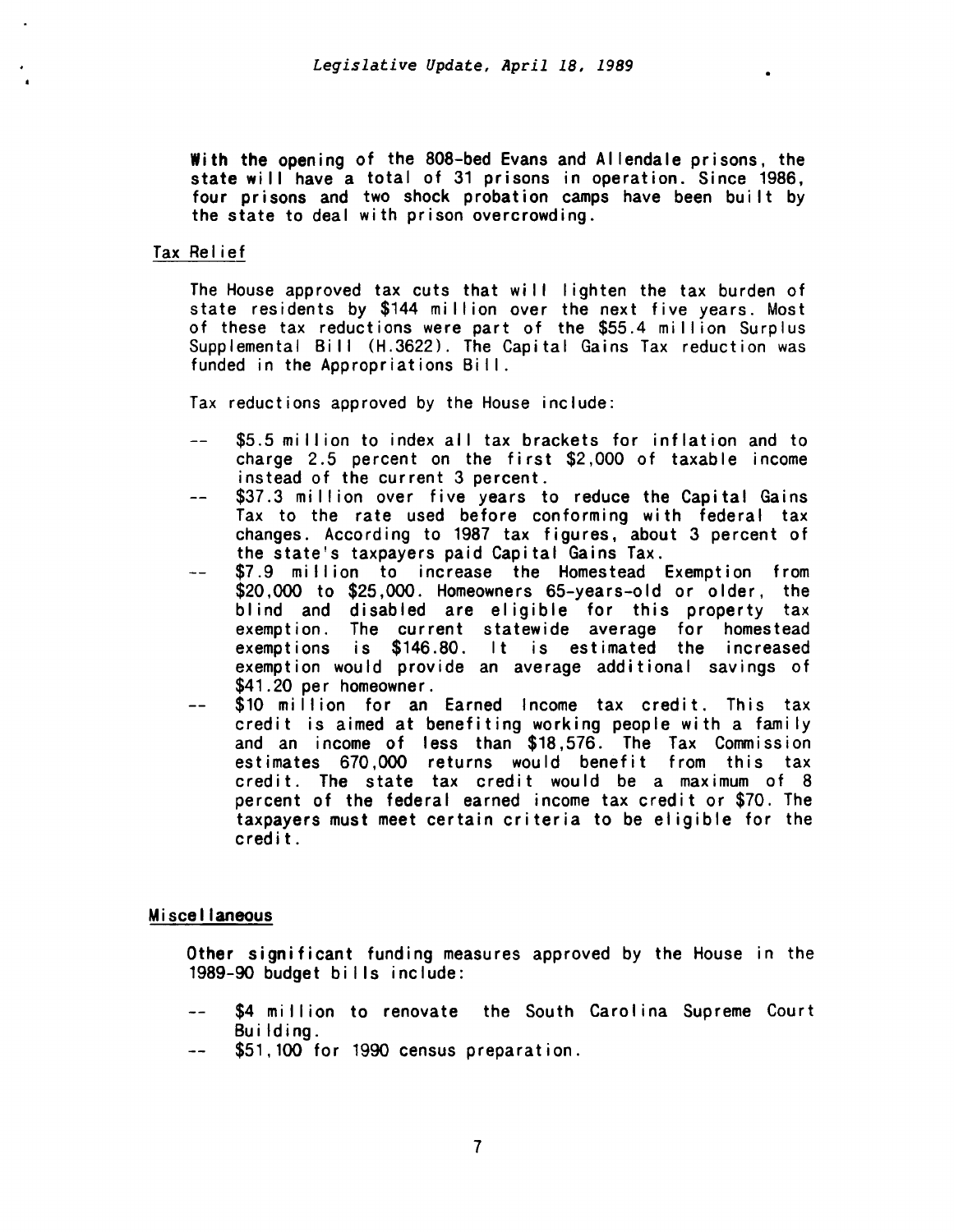With the opening of the 808-bed Evans and Allendale prisons, the state will have a total of 31 prisons in operation. Since 1986, four prisons and two shock probation camps have been built by the state to deal with prison overcrowding.

# Tax Relief

The House approved tax cuts that wi II I ighten the tax burden of state residents by \$144 million over the next five years. Most of these tax reductions were part of the \$55.4 million Surplus Supplemental Bill (H.3622). The Capital Gains Tax reduction was funded in the Appropriations Bill.

Tax reductions approved by the House include:

- \$5.5 million to index all tax brackets for inflation and to charge 2.5 percent on the first  $$2,000$  of taxable income instead of the current 3 percent.
- \$37.3 million over five years to reduce the Capital Gains  $-$ Tax to the rate used before conforming with federal tax changes. According to 1987 tax figures, about 3 percent of the state's taxpayers paid Capital Gains Tax.
- \$7.9 million to increase the Homestead Exemption from \$20,000 to \$25,000. Homeowners 65-years-old or older, the blind and disabled are eligible for this property tax exemption. The current statewide average for homestead exemptions is \$146.80. It is estimated the increased exemption would provide an average additional savings of \$41.20 per homeowner.
- \$10 million for an Earned Income tax credit. This tax  $$ credit is aimed at benefiting working people with a family and an income of less than \$18,576. The Tax Commission estimates 670,000 returns would benefit from this tax credit. The state tax credit would be a maximum of 8 percent of the federal earned income tax credit or \$70. The taxpayers must meet certain criteria to be eligible for the credit.

# Miscellaneous

Other significant funding measures approved by the House in the 1989-90 budget bills include:

- \$4 million to renovate the South Carolina Supreme Court  $\frac{1}{2}$ Building.
- \$51,100 for 1990 census preparation.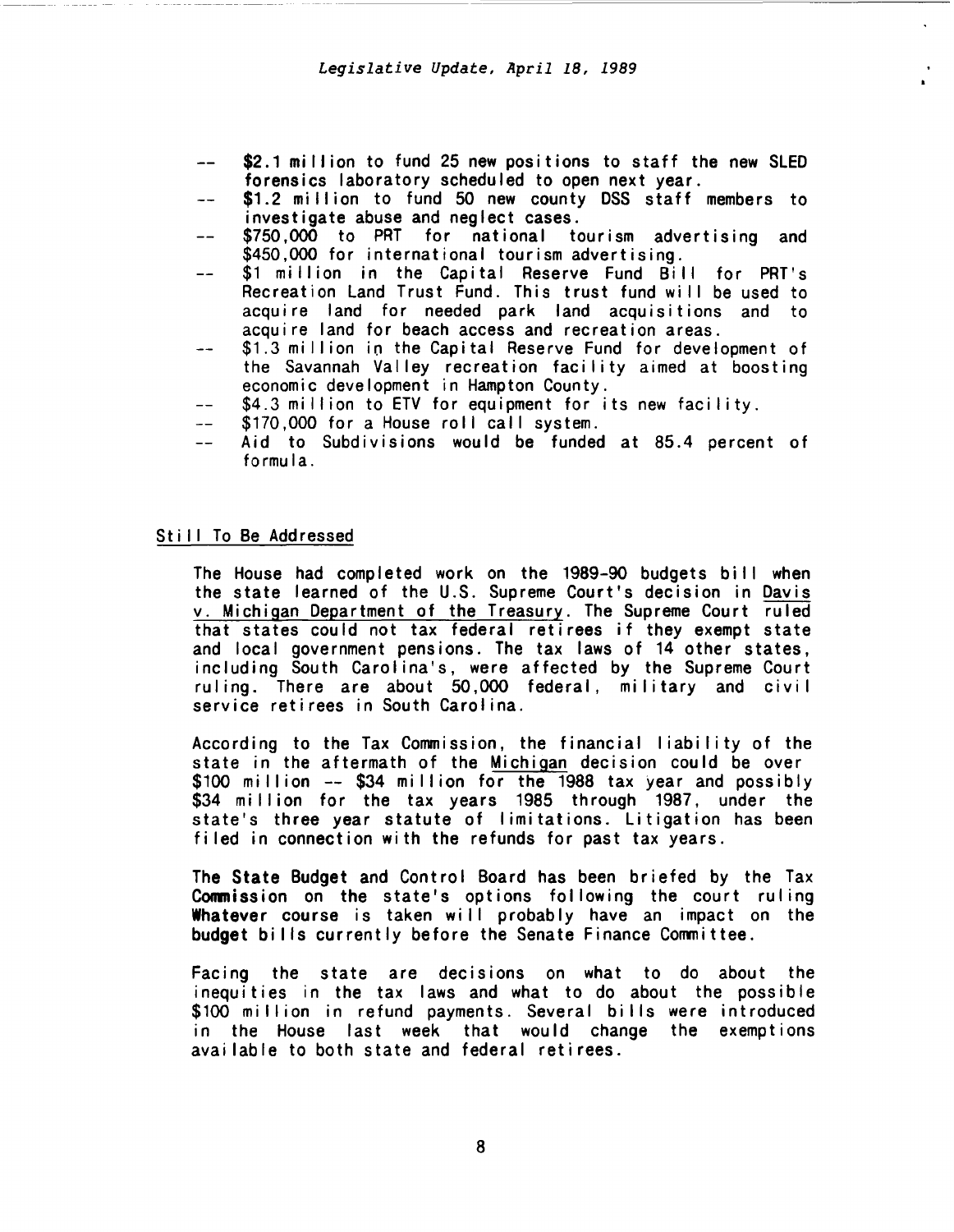- \$2.1 million to fund 25 new positions to staff the new SLED forensics laboratory scheduled to open next year.
- \$1.2 million to fund 50 new county DSS staff members to investigate abuse and neglect cases.
- \$750,000 to PRT for national tourism advertising and<br>\$450,000 for international tourism-advertising.
- \$1 million in the Capital Reserve Fund Bill for PRT's Recreation Land Trust Fund. This trust fund will be used to acquire land for needed park land acquisitions and to acquire land for beach access and recreation areas.
- \$1.3 million in the Capital Reserve Fund for development of  $-1$ the Savannah Valley recreation facility aimed at boosting
- \$4.3 million to ETV for equipment for its new facility.<br>\$170,000 for a House roll call system.
- $-$
- Aid to Subdivisions would be funded at 85.4 percent of  $$ formula.

# Still To Be Addressed

The House had completed work on the 1989-90 budgets bill when the state learned of the U.S. Supreme Court's decision in Davis v. Michigan Department of the Treasury. The Supreme Court ruled that states could not tax federal retirees if they exempt state and local government pensions. The tax laws of 14 other states, including South Carolina's, were affected by the Supreme Court ruling. There are about 50,000 federal, military and civil service retirees in South Carolina.

According to the Tax Commission, the financial liability of the state in the aftermath of the Michigan decision could be over \$100 million -- \$34 million for the 1988 tax year and possibly<br>\$34 million for the tax years 1985 through 1987, under the state's three year statute of limitations. Litigation has been filed in connection with the refunds for past tax years.

The State Budget and Control Board has been briefed by the Tax Conmission on the state's options following the court ruling Whatever course is taken will probably have an impact on the budget bills currently before the Senate Finance Committee.

Facing the state are decisions on what to do about the inequities in the tax laws and what to do about the possible \$100 million in refund payments. Several bills were introduced in the House last week that would change the exemptions available to both state and federal retirees.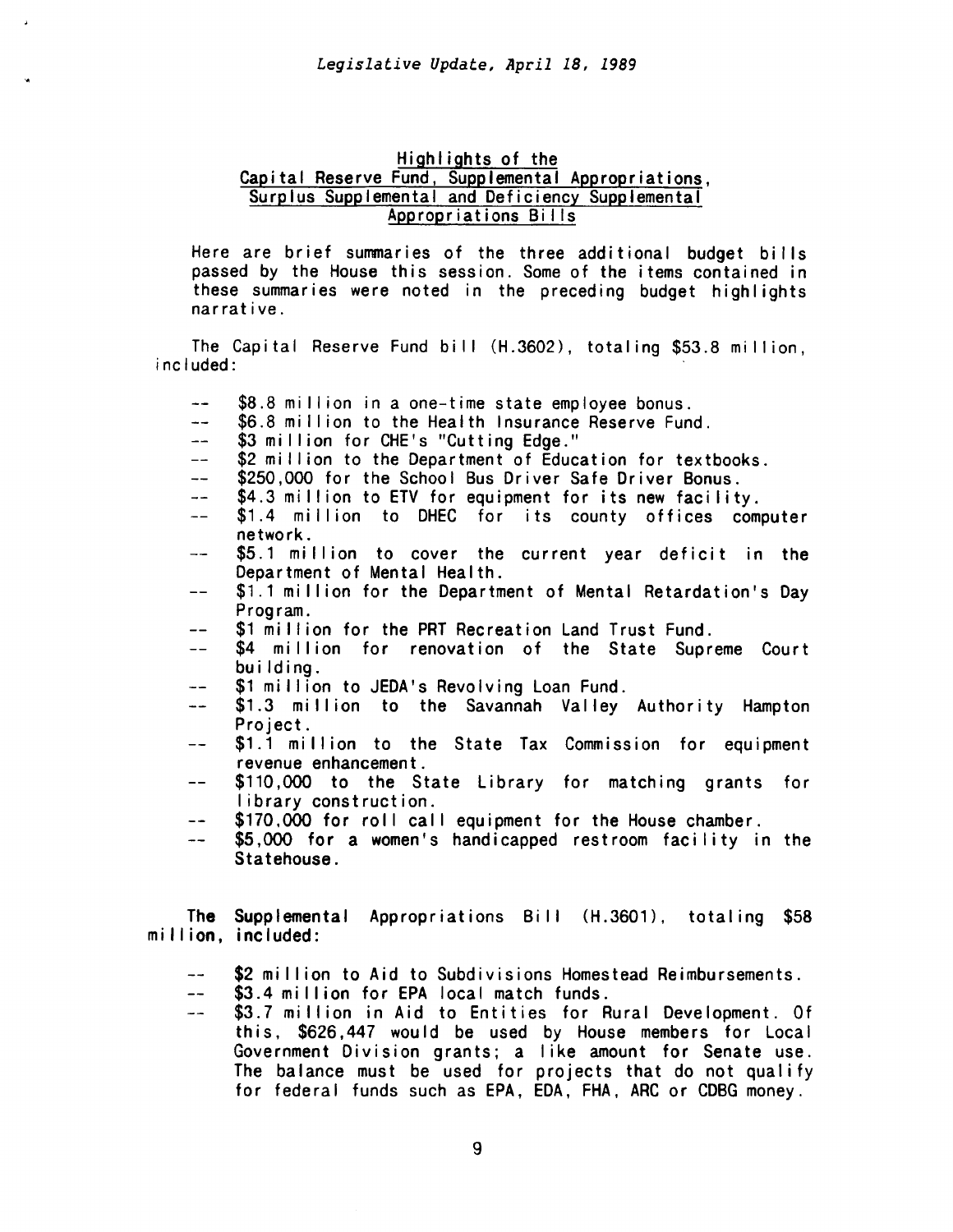# Highlights of the Capital Reserve Fund, Supplemental Appropriations, Surplus Supplemental and Deficiency Supplemental Appropriations Bi lis

Here are brief summaries of the three additional budget bills passed by the House this session. Some of the items contained in these summaries were noted in the preceding budget highlights narrative.

The Capital Reserve Fund bill (H.3602), totaling \$53.8 million, included:

- \$8.8 million in a one-time state employee bonus.
- \$6.8 million to the Health Insurance Reserve Fund.<br>\$3 million for CHE's "Cutting Edge."  $\sim$   $\sim$
- $-1$
- \$2 million to the Department of Education for textbooks.  $=$  $-$
- \$250,000 for the School Bus Driver Safe Driver Bonus.  $-$
- $\rightarrow$   $\rightarrow$
- \$4.3 million to ETV for equipment for its new facility.<br>\$1.4 million to DHEC for its county offices computer network.  $-$
- \$5.1 million to cover the current year deficit in the  $\overline{\phantom{a}}$ Department of Mental Health.
- \$1.1 million for the Department of Mental Retardation's Day  $-$ Program.
- \$1 million for the PRT Recreation Land Trust Fund.  $-$
- \$4 million for renovation of the State Supreme Court  $$ building.
- \$1 million to JEDA's Revolving Loan Fund. --
- \$1.3 million to the Savannah Valley Authority Hampton  $\rightarrow$ Project.
- \$1.1 million to the State Tax Commission for equipment  $$ revenue enhancement.
- \$110,000 to the State Library for matching grants for  $- -$ I ibrary construction.
- \$170,000 for roll call equipment for the House chamber.  $-$
- \$5,000 for a women's handicapped restroom facility in the  $\frac{1}{2}$ Statehouse.

The Supplemental Appropriations Bill (H.3601), totaling \$58 million, included:

- $\rightarrow$ \$2 million to Aid to Subdivisions Homestead Reimbursements.
- \$3.4 million for EPA local match funds.  $-$
- \$3.7 million in Aid to Entities for Rural Development. Of  $\rightarrow$ this, \$626,447 would be used by House members for Local Government Division grants; a like amount for Senate use. The balance must be used for projects that do not qualify for federal funds such as EPA, EDA, FHA, ARC or CDBG money.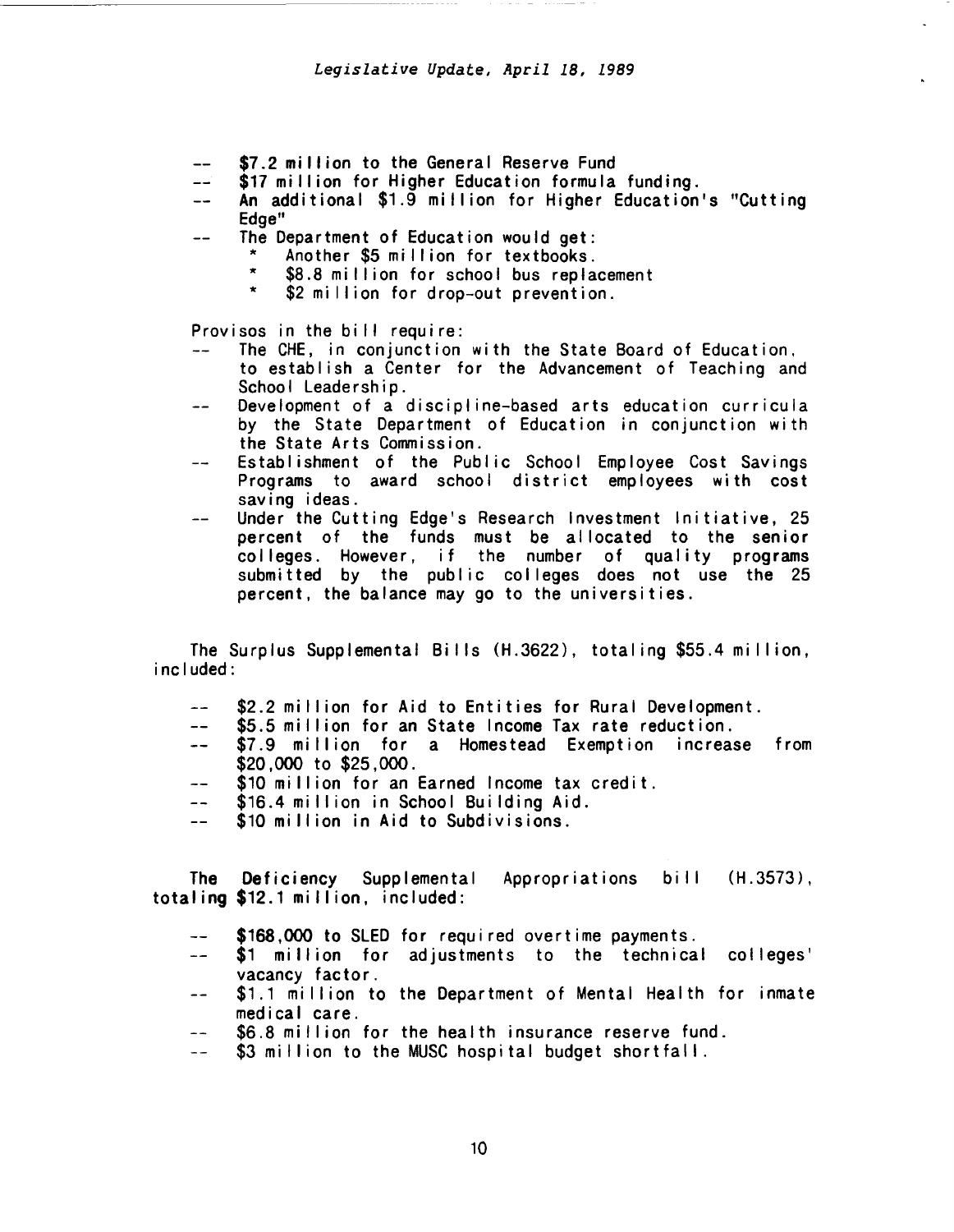- \$7.2 million to the General Reserve Fund
- \$17 million for Higher Education formula funding.
- An additional \$1.9 million for Higher Education's "Cutting  $-$ Edge"
- The Department of Education would get:  $-$ 
	- \* Another \$5 million for textbooks.<br>\* \$8.8 million for school bus ranks
	- \* \$8.8 million for school bus replacement<br>\* \$2 million for dres out proventies
	- \$2 million for drop-out prevention.

Provisos in the bill require:<br> $\leftarrow$  The CHE in conjunction

- The CHE, in conjunction with the State Board of Education, to establish a Center for the Advancement of Teaching and School Leadership.
- Development of a discipline-based arts education curricula  $-$ by the State Department of Education in conjunction with the State Arts Commission.
- Establishment of the Public School Employee Cost Savings Programs to award school district employees with cost saving ideas.
- Under the Cutting Edge's Research Investment Initiative, 25 percent of the funds must be allocated to the senior colleges. However, if the number of quality programs submitted by the public colleges does not use the 25 percent, the balance may go to the universities.

The Surplus Supplemental Bills (H.3622), totaling \$55.4 million, included:

- \$2.2 million for Aid to Entities for Rural Development.<br>\$5.5 million for an State Income Tax rate reduction.
- $-$
- \$7.9 million for a Homestead Exemption increase from  $-1$ \$20,000 to \$25,000.
- \$10 million for an Earned Income tax credit.  $\overline{a}$
- $-$ \$16.4 million in School Building Aid.
- \$10 million in Aid to Subdivisions.

The Deficiency Supplemental Appropriations totaling \$12.1 million, included: bill (H.3573),

- \$168,000 to SLED for required overtime payments.
- \$1 million for adjustments to the technical colleges'  $-$ vacancy factor.
- \$1.1 million to the Department of Mental Health for inmate  $\frac{1}{2}$ medical care.
- \$6.8 million for the health insurance reserve fund. البدائد
- \$3 million to the MUSC hospital budget shortfall.  $\perp$   $\perp$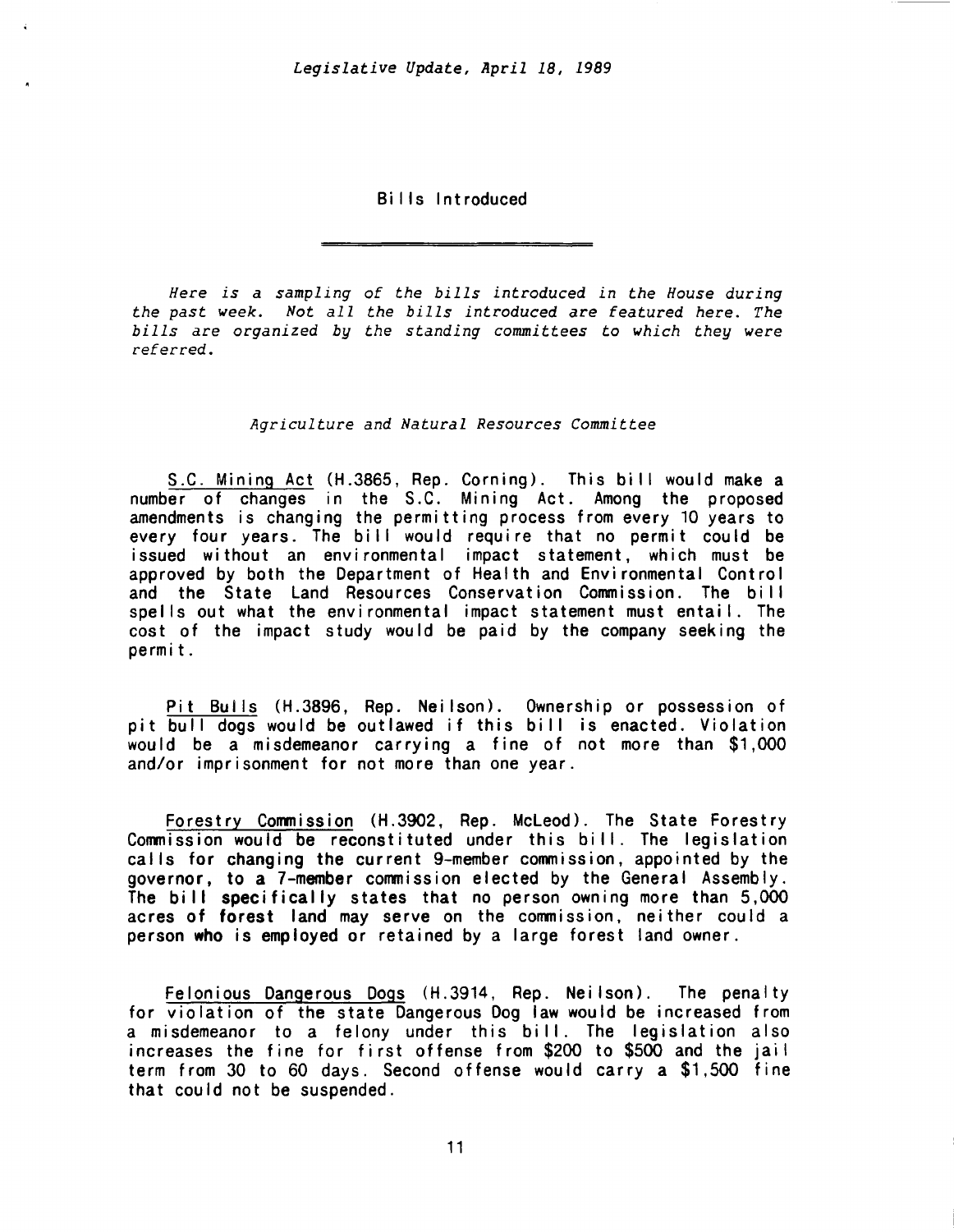Bills Introduced

*Here is a sampling* of *the bills introduced in the House during the past week. Not all the bills introduced* are *featured here. The bills* are *organized by the standing committees to which they were referred.* 

## *Agriculture and Natural Resources Committee*

S.C. Mining Act (H.3865, Rep. Corning). This bill would make a number of changes in the S.C. Mining Act. Among the proposed amendments is changing the permitting process from every 10 years to every four years. The bill would require that no permit could be issued without an environmental impact statement, which must be approved by both the Department of Health and Environmental Control and the State Land Resources Conservation Commission. The bill spells out what the environmental impact statement must entai I. The cost of the impact study would be paid by the company seeking the permit.

Pit Bulls (H.3896, Rep. Neilson). Ownership or possession of pit bull dogs would be outlawed if this bill is enacted. Violation would be a misdemeanor carrying a fine of not more than \$1,000 and/or imprisonment for not more than one year.

Forestry Commission (H.3902, Rep. McLeod). The State Forestry Commission would be reconstituted under this bill. The legislation calls for changing the current 9-member commission, appointed by the governor, to a 7-member commission elected by the General Assembly. The bill specifically states that no person owning more than 5,000 acres of forest land may serve on the commission, neither could a person who is employed or retained by a large forest land owner.

Felonious Dangerous Dogs (H.3914, Rep. Neilson). The penalty for violation of the state Dangerous Dog law would be increased from a misdemeanor to a felony under this bill. The legislation also increases the fine for first offense from \$200 to \$500 and the jail term from 30 to 60 days. Second offense would carry a \$1,500 fine that could not be suspended.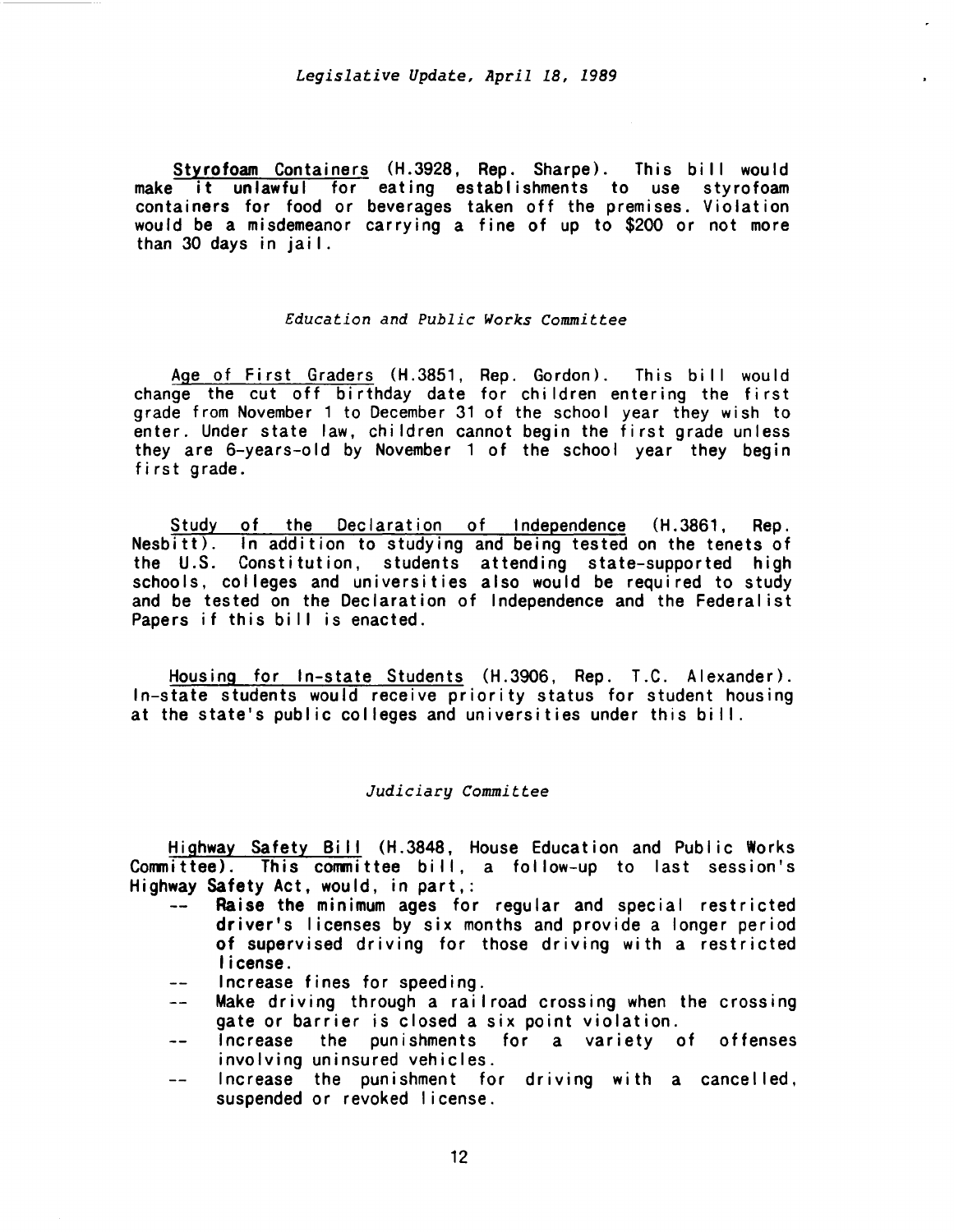Styrofoam Containers (H.3928, Rep. Sharpe). This bill would make it unlawful for eating establishments to use styrofoam containers for food or beverages taken off the premises. Violation would be a misdemeanor carrying a fine of up to \$200 or not more than 30 days in jail.

# *Education and Public Works Committee*

Age of First Graders (H.3851, Rep. Gordon). This bill would change the cut off birthday date for children entering the first grade from November 1 to December 31 of the school year they wish to enter. Under state law, children cannot begin the first grade unless they are 6-years-old by November 1 of the school year they begin first grade.

Study of the Declaration of Independence (H.3861, Rep. Nesbitt). In addition to studying and being tested on the tenets of the U.S. Constitution, students attending state-supported high Constitution, students attending state-supported high schools, colleges and universities also would be required to study and be tested on the Declaration of Independence and the Federalist Papers if this bill is enacted.

Housing for In-state Students (H.3906, Rep. T.C. Alexander). In-state students would receive priority status for student housing at the state's public colleges and universities under this bill.

# *Judiciary Committee*

Highway Safety Bill (H.3848, House Education and Public Works Committee). This committee bill, a follow-up to last session's Highway Safety Act, would, in part,:

- Raise the minimum ages for regular and special restricted driver's licenses by six months and provide a longer period of supervised driving for those driving with a restricted license.
- Increase fines for speeding.  $-1$
- Make driving through a railroad crossing when the crossing  $\frac{1}{2}$ gate or barrier is closed a six point violation.
- Increase the punishments for a variety of offenses  $\overline{a}$ involving uninsured vehicles.
- Increase the punishment for driving with a cancel led,  $--$ suspended or revoked license.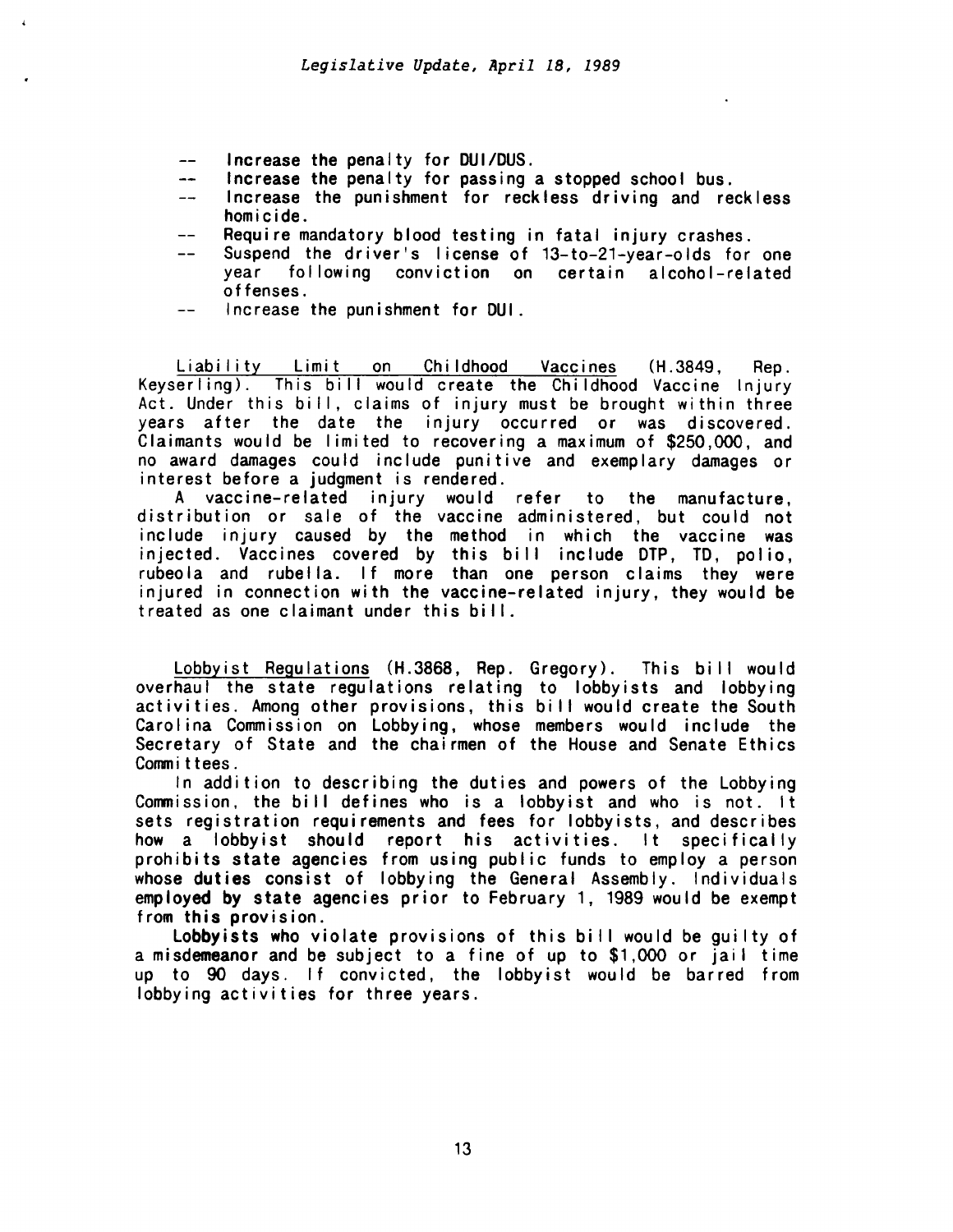- Increase the penalty for DUI/DUS.  $\overline{\phantom{0}}$
- Increase the penalty for passing a stopped school bus.  $\overline{a}$
- Increase the punishment for reckless driving and reckless homicide.
- Require mandatory blood testing in fatal injury crashes.  $---$
- Suspend the driver's license of 13-to-21-year-olds for one  $$ year following conviction on certain alcohol-related offenses.
- Increase the punishment for DUI.  $-$

Liability Limit on Childhood Vaccines (H.3849, Rep.<br>Keyserling). This bill would create the Childhood Vaccine Injury This bill would create the Childhood Vaccine Injury Act. Under this bill, claims of injury must be brought within three years after the date the injury occurred or was discovered. Claimants would be I imited to recovering a maximum of \$250,000, and no award damages could include punitive and exemplary damages or interest before a judgment is rendered.

A vaccine-related injury would refer to the manufacture, distribution or sale of the vaccine administered, but could not include injury caused by the method in which the vaccine was injected. Vaccines covered by this bill include DTP, TD, polio, rubeola and rubella. If more than one person claims they were injured in connection with the vaccine-related injury, they would be treated as one claimant under this bill.

Lobbyist Regulations (H.3868, Rep. Gregory). This bi II would overhaul the state regulations relating to lobbyists and lobbying activities. Among other provisions, this bi II would create the South Carolina Commission on Lobbying, whose members would include the Secretary of State and the chairmen of the House and Senate Ethics Committees.

In addition to describing the duties and powers of the Lobbying Commission, the bill defines who is a lobbyist and who is not. It sets registration requirements and fees for lobbyists, and describes how a lobby ist should report his activities. It specifically prohibits state agencies from using public funds to employ a person whose duties consist of lobbying the General Assembly. Individuals employed by state agencies prior to February 1, 1989 would be exempt from this provision.

Lobbyists who violate provisions of this bill would be quilty of a misdemeanor and be subject to a fine of up to \$1,000 or jail time up to 90 days. If convicted, the lobbyist would be barred from lobbying activities for three years.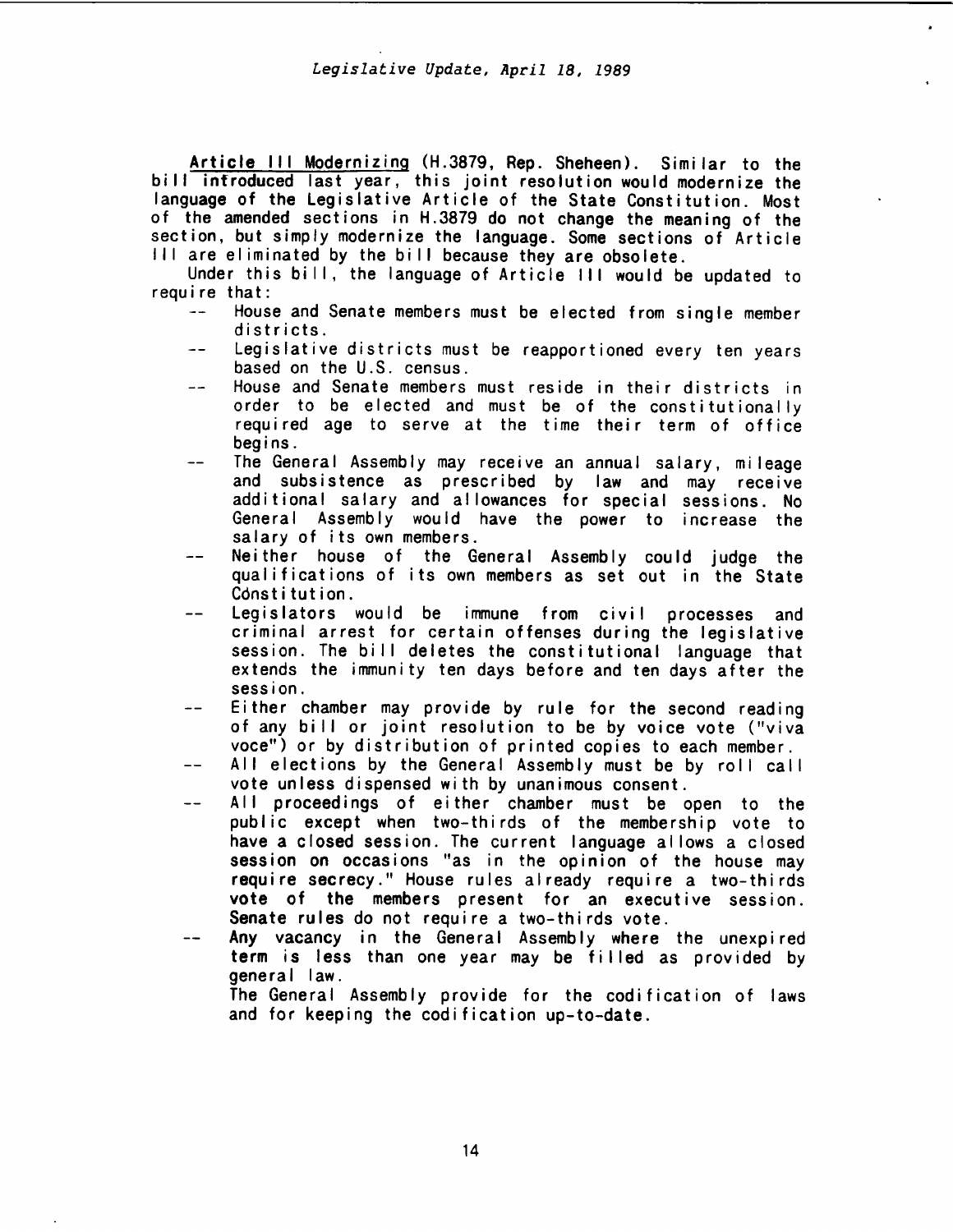Article III Modernizing (H.3879, Rep. Sheheen). Similar to the bill introduced last year, this joint resolution would modernize the language of the Legislative Article of the State Constitution. Most of the amended sections in H.3879 do not change the meaning of the section, but simply modernize the language. Some sections of Article III are eliminated by the bill because they are obsolete.

Under this bill, the language of Article III would be updated to require that:

- House and Senate members must be elected from single member districts.
- $-$ Legislative districts must be reapportioned every ten years based on the U.S. census.
- House and Senate members must reside in their districts in  $=$  $$ order to be elected and must be of the constitutionally required age to serve at the time their term of office begins.
- The General Assembly may receive an annual salary, mileage  $$ and subsistence as prescribed by law and may receive additional salary and allowances for special sessions. No General Assembly would have the power to increase the salary of its own members.
- Neither house of the General Assembly could judge the qualifications of its own members as set out in the State Constitution.
- Legislators would be immune from civil processes and criminal arrest for certain offenses during the legislative session. The bill deletes the constitutional language that extends the immunity ten days before and ten days after the session.
- Either chamber may provide by rule for the second reading of any bi II or joint resolution to be by voice vote ("viva voce") or by distribution of printed copies to each member.
- All elections by the General Assembly must be by roll call vote unless dispensed with by unanimous consent.
- All proceedings of either chamber must be open to the public except when two-thirds of the membership vote to have a closed session. The current language allows a closed session on occasions "as in the opinion of the house may require secrecy." House rules already require a two-thirds vote of the members present for an executive session. Senate rules do not require a two-thirds vote.
- Any vacancy in the General Assembly where the unexpired term is less than one year may be filled as provided by general law.

The General Assembly provide for the codification of laws and for keeping the codification up-to-date.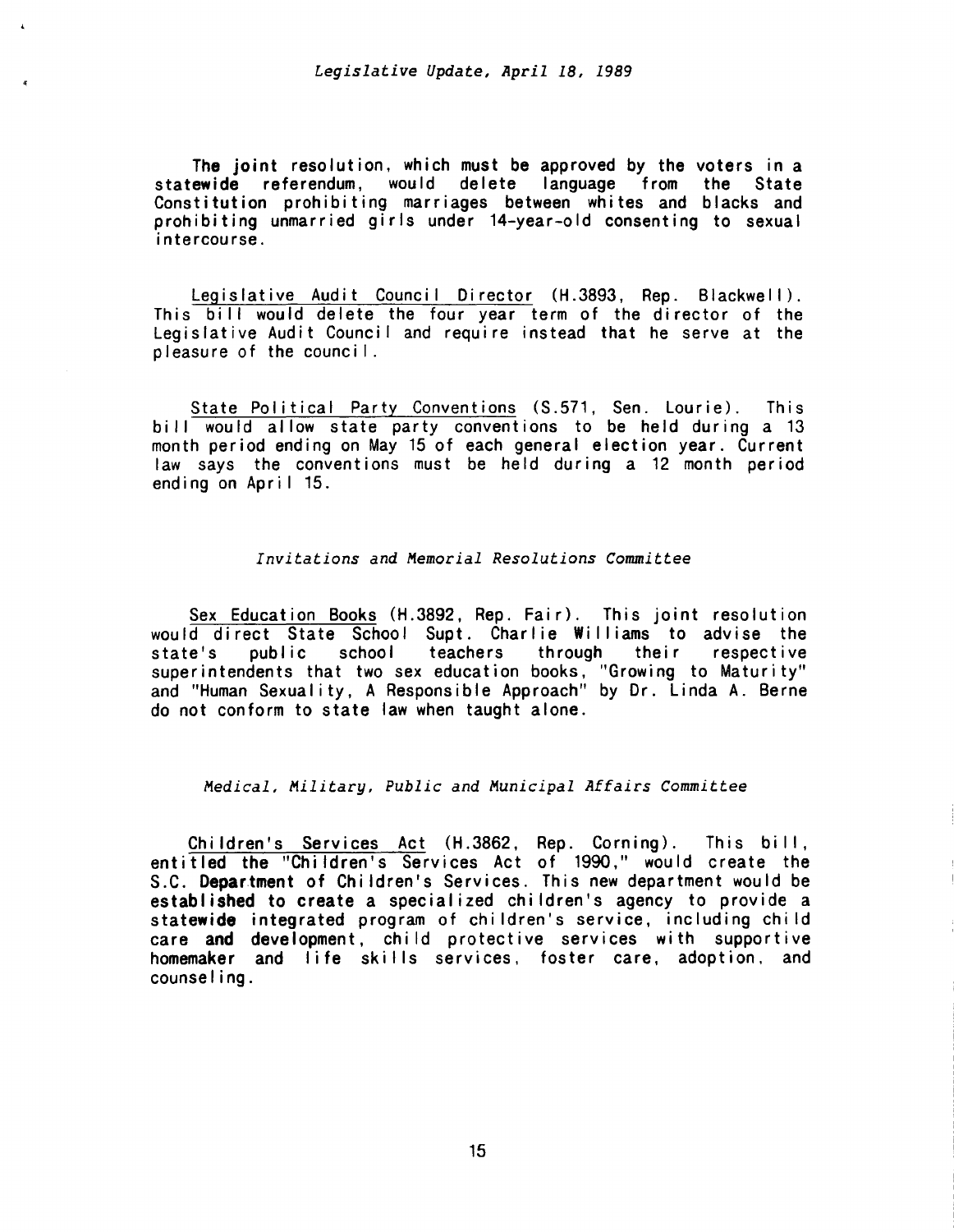The joint resolution, which must be approved by the voters in a statewide referendum, would delete language from the State Constitution prohibiting marriages between whites and blacks and prohibiting unmarried girls under 14-year-old consenting to sexual intercourse.

Legislative Audit Council Director (H.3893, Rep. Blackwell). This bill would delete the four year term of the director of the Legislative Audit Council and require instead that he serve at the pleasure of the counci I.

State Political Party Conventions (S.571, Sen. Lourie). This bill would allow state party conventions to be held during a 13 month period ending on May 15 of each general election year. Current law says the conventions must be held during a 12 month period ending on April 15.

# *Invitations and Memorial Resolutions Committee*

Sex Education Books (H.3892, Rep. Fair). This joint resolution would direct State School Supt. Charlie Williams to advise the<br>state's public school teachers through their respective state's public school teachers through their respective superintendents that two sex education books, ''Growing to Maturity" and "Human Sexuality, A Responsible Approach" by Dr. Linda A. Berne do not conform to state law when taught alone.

# *Medical, Military, Public and Municipal Affairs Committee*

Children's Services Act (H.3862, Rep. Corning). This bill, entitled the "Children's Services Act of 1990," would create the S.C. Department of Children's Services. This new department would be established to create a specialized children's agency to provide a statewide integrated program of children's service, including child care and development, child protective services with supportive homemaker and life skills services, foster care, adoption, and counse I i ng .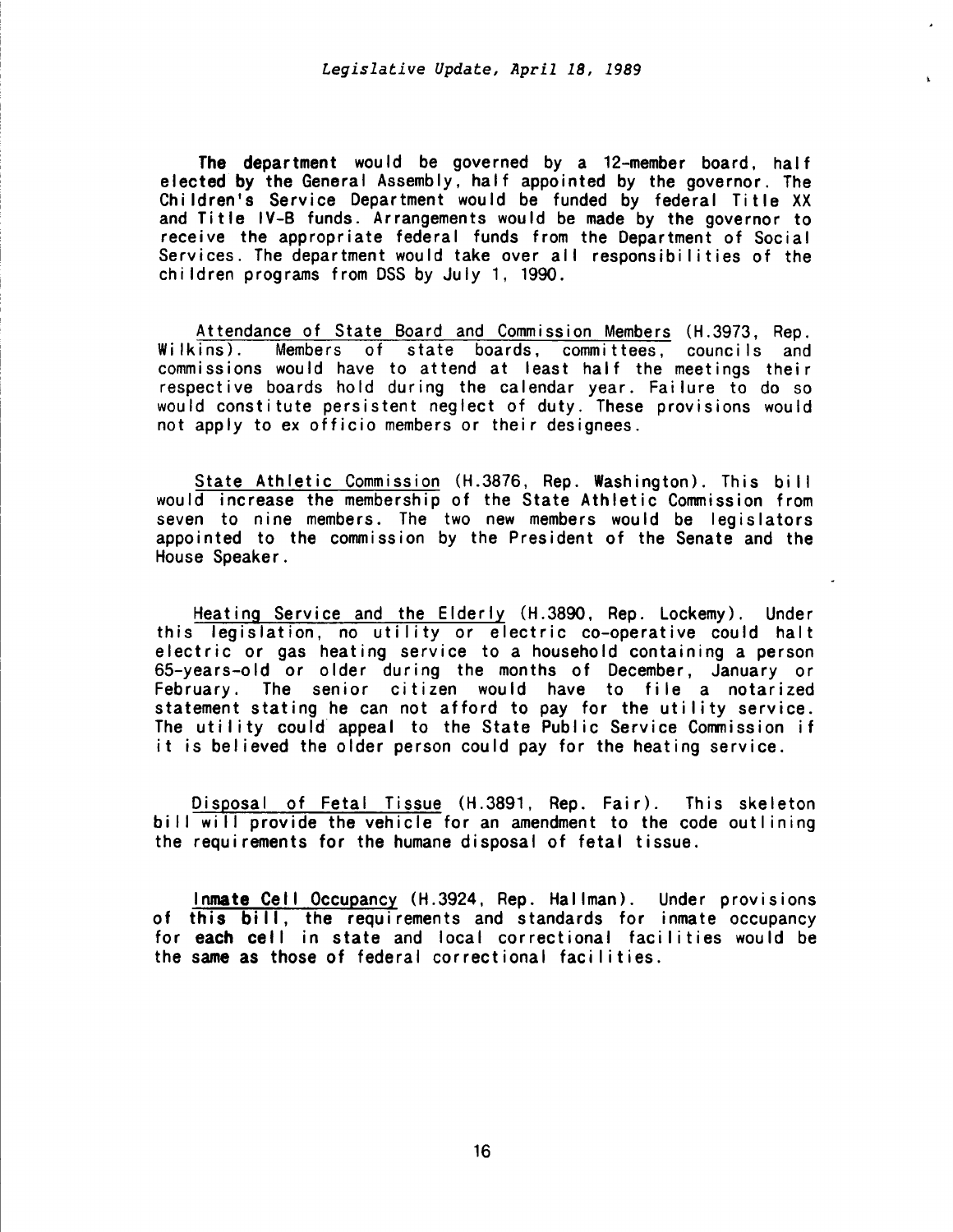The department would be governed by a 12-member board, half elected by the General Assembly, half appointed by the governor. The Children's Service Department would be funded by federal Title XX and Title IV-B funds. Arrangements would be made by the governor to receive the appropriate federal funds from the Department of Social Services. The department would take over all responsibilities of the children programs from DSS by July 1, 1990.

Attendance of State Board and Commission Members (H.3973, Rep. Wilkins). Members of state boards, committees, councils and commissions would have to attend at least half the meetings their respective boards hold during the calendar year. Failure to do so would constitute persistent neglect of duty. These provisions would not apply to ex officio members or their designees.

State Athletic Commission (H.3876, Rep. Washington). This bi II would increase the membership of the State Athletic Commission from seven to nine members. The two new members would be legislators appointed to the commission by the President of the Senate and the House Speaker .

Heating Service and the Elderly (H.3890, Rep. Lockemy). Under this legislation, no utility or electric co-operative could halt electric or gas heating service to a household containing a person 65-years-old or older during the months of December, January or February. The senior citizen would have to file a notarized statement stating he can not afford to pay for the utility service. The utility could appeal to the State Public Service Commission if it is believed the older person could pay for the heating service.

Disposal of Fetal Tissue (H.3891, Rep. Fair). This skeleton bill will provide the vehicle for an amendment to the code outlining the requirements for the humane disposal of fetal tissue.

Inmate Cell Occupancy (H.3924, Rep. Hallman). Under provisions of this bill, the requirements and standards for inmate occupancy for each cell in state and local correctional facilities would be the same as those of federal correctional facilities.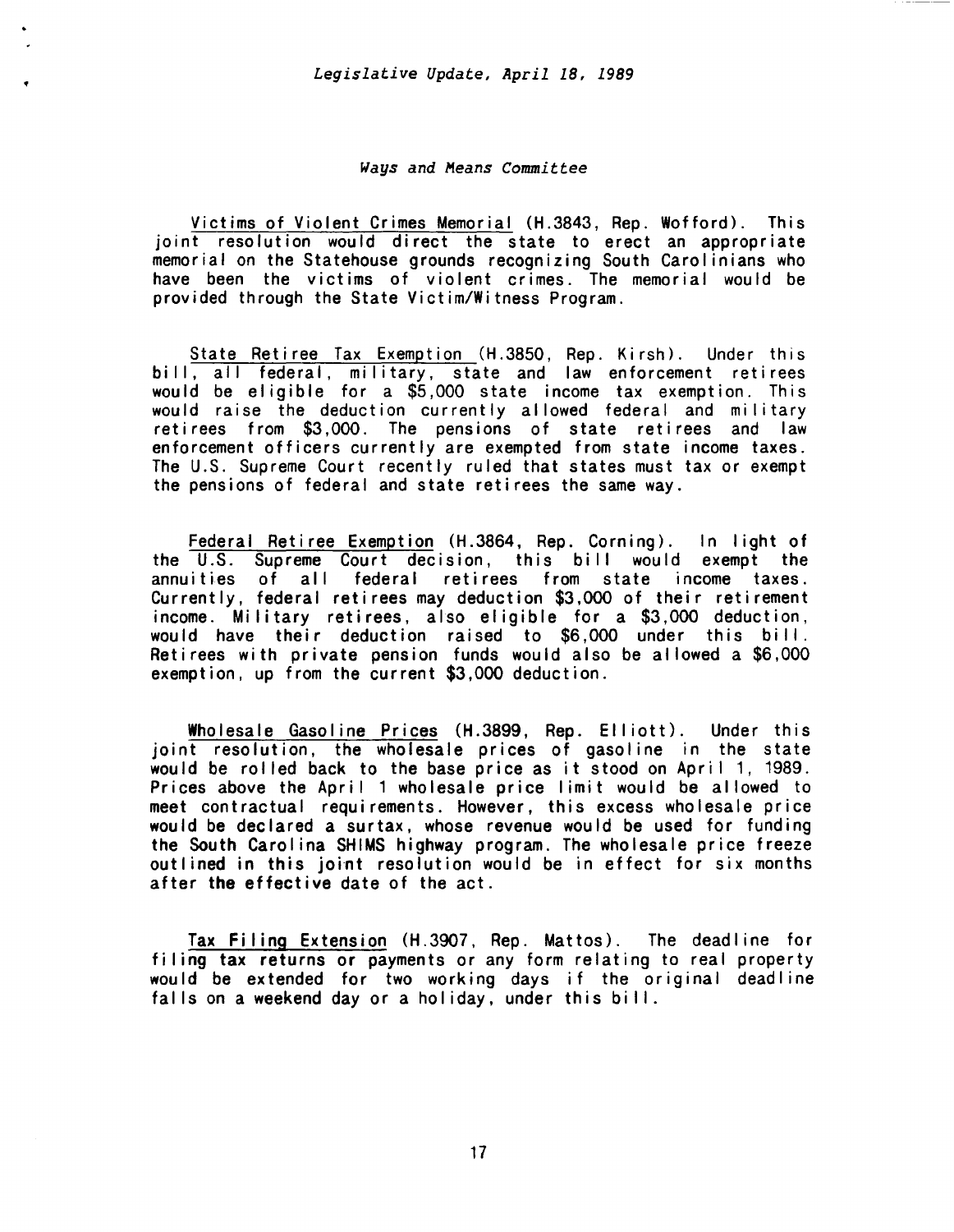### *Ways and Means Committee*

Victims of Violent Crimes Memorial (H.3843, Rep. Wofford). This joint resolution would direct the state to erect an appropriate memorial on the Statehouse grounds recognizing South Carolinians who have been the victims of violent crimes. The memorial would be provided through the State Victim/Witness Program.

State Retiree Tax Exemption (H.3850, Rep. Kirsh). Under this bill, all federal, military, state and law enforcement retirees would be eligible for a \$5,000 state income tax exemption. This would raise the deduction currently allowed federal and military retirees from \$3,000. The pensions of state retirees and law enforcement officers currently are exempted from state income taxes. The U.S. Supreme Court recently ruled that states must tax or exempt the pensions of federal and state retirees the same way.

Federal Retiree Exemption (H.3864, Rep. Corning). In light of the U.S. Supreme Court decision, this bill would exempt the annuities of all federal retirees from state income taxes. Currently, federal retirees may deduction \$3,000 of their retirement income. Military retirees, also eligible for a \$3,000 deduction, would have their deduction raised to \$6,000 under this bill. Retirees with private pension funds would also be allowed a \$6,000 exemption, up from the current \$3,000 deduction.

Wholesale Gasoline Prices (H.3899, Rep. Elliott). Under this joint resolution, the wholesale prices of gasoline in the state would be rolled back to the base price as it stood on April 1, 1989. Prices above the April 1 wholesale price limit would be allowed to meet contractual requirements. However, this excess wholesale price would be declared a surtax, whose revenue would be used for funding the South Carolina SHIMS highway program. The wholesale price freeze outlined in this joint resolution would be in effect for six months after the effective date of the act.

Tax Filing Extension (H.3907, Rep. Mattos). The deadline for filing tax returns or payments or any form relating to real property would be extended for two working days if the original deadline falls on a weekend day or a holiday, under this bill.

17